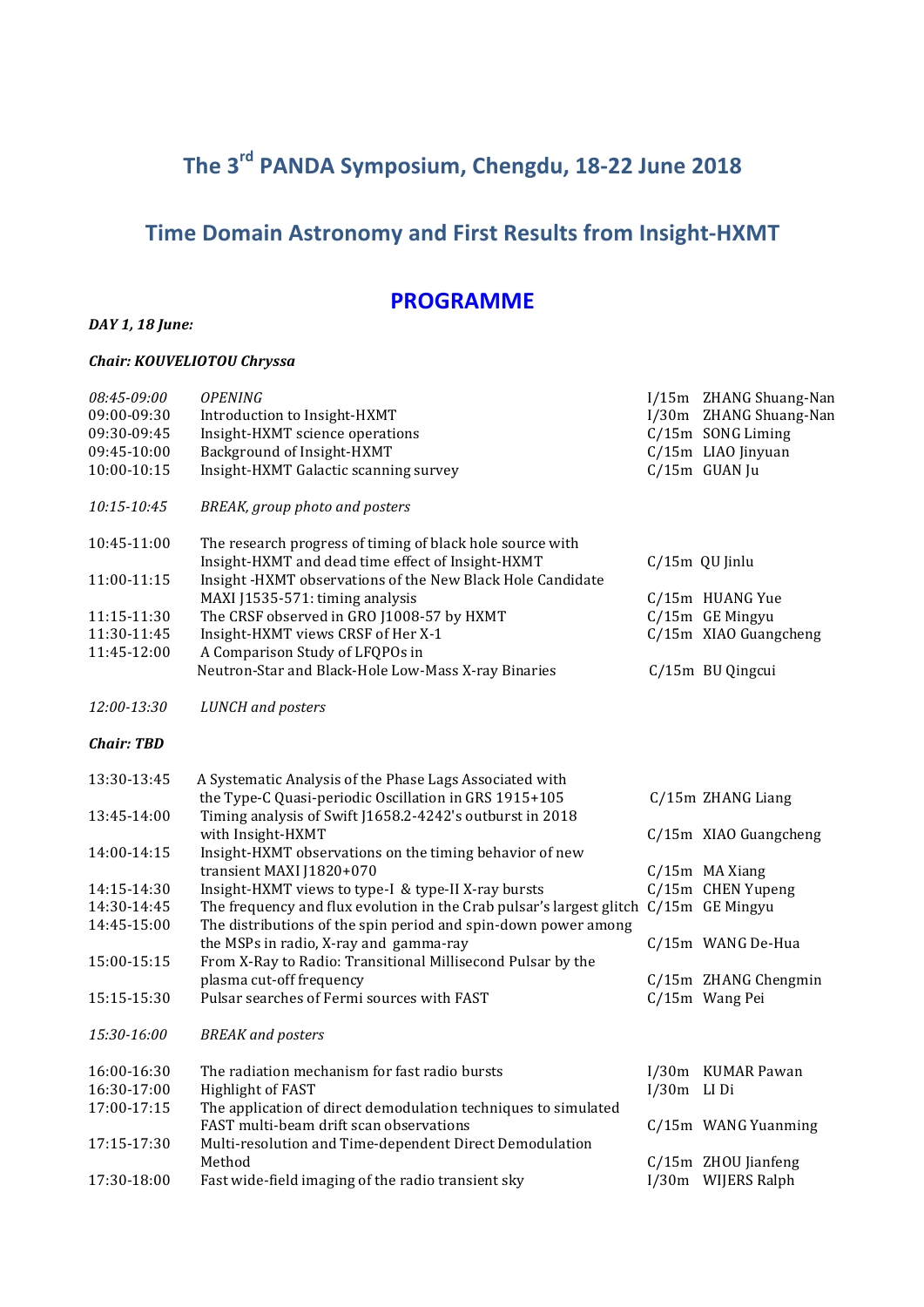# The 3<sup>rd</sup> PANDA Symposium, Chengdu, 18-22 June 2018

# **Time Domain Astronomy and First Results from Insight-HXMT**

# **PROGRAMME**

#### *DAY* 1, 18 June:

#### *Chair: KOUVELIOTOU Chryssa*

| 08:45-09:00                | <b>OPENING</b>                                                                                        |               | I/15m ZHANG Shuang-Nan               |
|----------------------------|-------------------------------------------------------------------------------------------------------|---------------|--------------------------------------|
| 09:00-09:30                | Introduction to Insight-HXMT                                                                          |               | I/30m ZHANG Shuang-Nan               |
| 09:30-09:45                | Insight-HXMT science operations                                                                       |               | C/15m SONG Liming                    |
| 09:45-10:00                | Background of Insight-HXMT                                                                            |               | C/15m LIAO Jinyuan                   |
| 10:00-10:15                | Insight-HXMT Galactic scanning survey                                                                 |               | C/15m GUAN Ju                        |
| 10:15-10:45                | BREAK, group photo and posters                                                                        |               |                                      |
| 10:45-11:00                | The research progress of timing of black hole source with                                             |               |                                      |
|                            | Insight-HXMT and dead time effect of Insight-HXMT                                                     |               | $C/15m$ QU Jinlu                     |
| 11:00-11:15                | Insight -HXMT observations of the New Black Hole Candidate                                            |               |                                      |
|                            | MAXI J1535-571: timing analysis<br>The CRSF observed in GRO J1008-57 by HXMT                          |               | C/15m HUANG Yue<br>$C/15m$ GE Mingyu |
| 11:15-11:30<br>11:30-11:45 | Insight-HXMT views CRSF of Her X-1                                                                    |               | C/15m XIAO Guangcheng                |
| 11:45-12:00                | A Comparison Study of LFQPOs in                                                                       |               |                                      |
|                            | Neutron-Star and Black-Hole Low-Mass X-ray Binaries                                                   |               | C/15m BU Qingcui                     |
| 12:00-13:30                | <b>LUNCH</b> and posters                                                                              |               |                                      |
| <b>Chair: TBD</b>          |                                                                                                       |               |                                      |
| 13:30-13:45                | A Systematic Analysis of the Phase Lags Associated with                                               |               |                                      |
|                            | the Type-C Quasi-periodic Oscillation in GRS 1915+105                                                 |               | C/15m ZHANG Liang                    |
| 13:45-14:00                | Timing analysis of Swift J1658.2-4242's outburst in 2018                                              |               |                                      |
|                            | with Insight-HXMT                                                                                     |               | C/15m XIAO Guangcheng                |
| 14:00-14:15                | Insight-HXMT observations on the timing behavior of new                                               |               |                                      |
|                            | transient MAXI J1820+070                                                                              |               | $C/15m$ MA Xiang                     |
| 14:15-14:30                | Insight-HXMT views to type-I & type-II X-ray bursts                                                   |               | C/15m CHEN Yupeng                    |
| 14:30-14:45                | The frequency and flux evolution in the Crab pulsar's largest glitch C/15m GE Mingyu                  |               |                                      |
| 14:45-15:00                | The distributions of the spin period and spin-down power among                                        |               | C/15m WANG De-Hua                    |
| 15:00-15:15                | the MSPs in radio, X-ray and gamma-ray<br>From X-Ray to Radio: Transitional Millisecond Pulsar by the |               |                                      |
|                            | plasma cut-off frequency                                                                              |               | C/15m ZHANG Chengmin                 |
| 15:15-15:30                | Pulsar searches of Fermi sources with FAST                                                            |               | C/15m Wang Pei                       |
|                            |                                                                                                       |               |                                      |
| 15:30-16:00                | <b>BREAK</b> and posters                                                                              |               |                                      |
| 16:00-16:30                | The radiation mechanism for fast radio bursts                                                         |               | I/30m KUMAR Pawan                    |
| 16:30-17:00                | Highlight of FAST                                                                                     | $I/30m$ LI Di |                                      |
| 17:00-17:15                | The application of direct demodulation techniques to simulated                                        |               |                                      |
|                            | FAST multi-beam drift scan observations                                                               |               | C/15m WANG Yuanming                  |
| 17:15-17:30                | Multi-resolution and Time-dependent Direct Demodulation                                               |               |                                      |
|                            | Method                                                                                                |               | C/15m ZHOU Jianfeng                  |
| 17:30-18:00                | Fast wide-field imaging of the radio transient sky                                                    |               | I/30m WIJERS Ralph                   |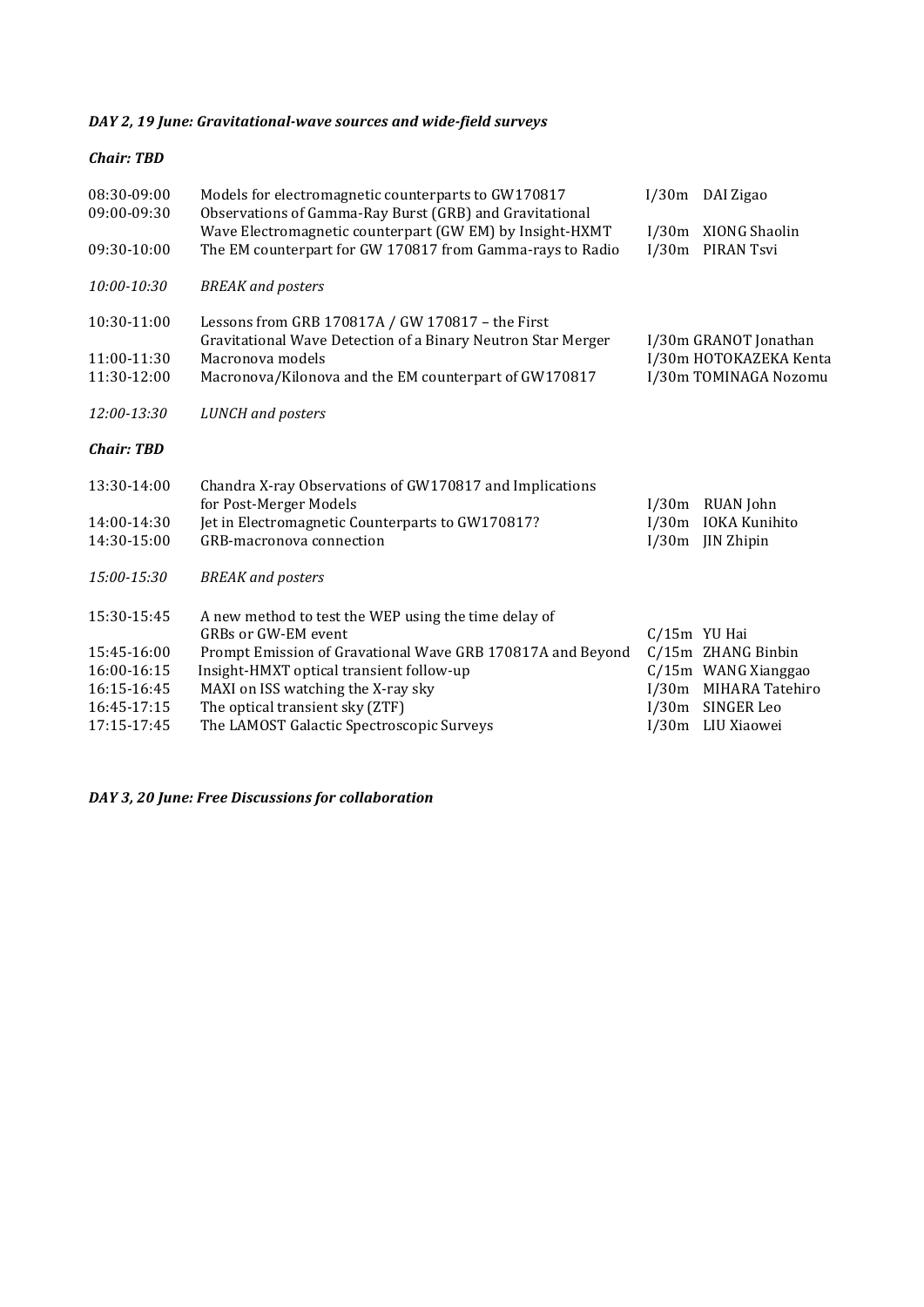## DAY 2, 19 June: Gravitational-wave sources and wide-field surveys

#### *Chair: TBD*

| 08:30-09:00<br>09:00-09:30 | Models for electromagnetic counterparts to GW170817<br>Observations of Gamma-Ray Burst (GRB) and Gravitational   |       | I/30m DAI Zigao        |
|----------------------------|------------------------------------------------------------------------------------------------------------------|-------|------------------------|
|                            | Wave Electromagnetic counterpart (GW EM) by Insight-HXMT                                                         |       | I/30m XIONG Shaolin    |
| 09:30-10:00                | The EM counterpart for GW 170817 from Gamma-rays to Radio                                                        |       | I/30m PIRAN Tsvi       |
| 10:00-10:30                | <b>BREAK</b> and posters                                                                                         |       |                        |
| 10:30-11:00                | Lessons from GRB 170817A / GW 170817 - the First<br>Gravitational Wave Detection of a Binary Neutron Star Merger |       | I/30m GRANOT Jonathan  |
| 11:00-11:30                | Macronova models                                                                                                 |       | I/30m HOTOKAZEKA Kenta |
| 11:30-12:00                | Macronova/Kilonova and the EM counterpart of GW170817                                                            |       | I/30m TOMINAGA Nozomu  |
| 12:00-13:30                | <b>LUNCH</b> and posters                                                                                         |       |                        |
| <b>Chair: TBD</b>          |                                                                                                                  |       |                        |
| 13:30-14:00                | Chandra X-ray Observations of GW170817 and Implications<br>for Post-Merger Models                                | I/30m | <b>RUAN</b> John       |
| 14:00-14:30                | Jet in Electromagnetic Counterparts to GW170817?                                                                 |       | I/30m IOKA Kunihito    |
| 14:30-15:00                | GRB-macronova connection                                                                                         | I/30m | JIN Zhipin             |
| 15:00-15:30                | <b>BREAK</b> and posters                                                                                         |       |                        |
| 15:30-15:45                | A new method to test the WEP using the time delay of                                                             |       |                        |
|                            | <b>GRBs or GW-EM event</b>                                                                                       |       | $C/15m$ YU Hai         |
| 15:45-16:00                | Prompt Emission of Gravational Wave GRB 170817A and Beyond                                                       |       | C/15m ZHANG Binbin     |
| 16:00-16:15                | Insight-HMXT optical transient follow-up                                                                         |       | C/15m WANG Xianggao    |
| 16:15-16:45                | MAXI on ISS watching the X-ray sky                                                                               |       | I/30m MIHARA Tatehiro  |
| 16:45-17:15                | The optical transient sky (ZTF)                                                                                  |       | I/30m SINGER Leo       |
| 17:15-17:45                | The LAMOST Galactic Spectroscopic Surveys                                                                        |       | I/30m LIU Xiaowei      |

*DAY 3, 20 June: Free Discussions for collaboration*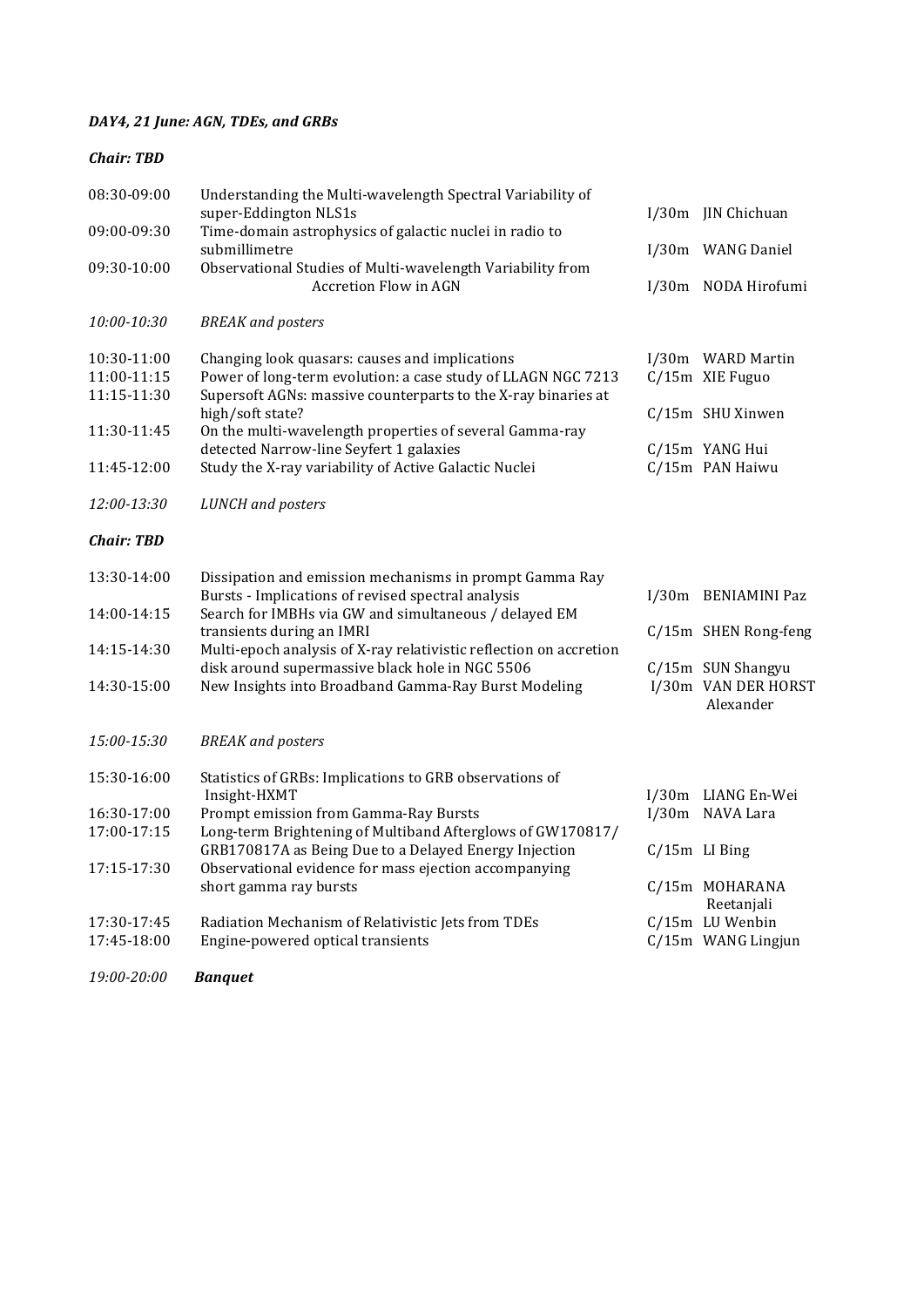## DAY4, 21 June: AGN, TDEs, and GRBs

| <b>Chair: TBD</b>                         |                                                                                                                                                                                 |                                                       |
|-------------------------------------------|---------------------------------------------------------------------------------------------------------------------------------------------------------------------------------|-------------------------------------------------------|
| 08:30-09:00                               | Understanding the Multi-wavelength Spectral Variability of<br>super-Eddington NLS1s                                                                                             | I/30m JIN Chichuan                                    |
| 09:00-09:30                               | Time-domain astrophysics of galactic nuclei in radio to<br>submillimetre                                                                                                        | I/30m WANG Daniel                                     |
| 09:30-10:00                               | Observational Studies of Multi-wavelength Variability from<br><b>Accretion Flow in AGN</b>                                                                                      | I/30m NODA Hirofumi                                   |
| 10:00-10:30                               | <b>BREAK</b> and posters                                                                                                                                                        |                                                       |
| 10:30-11:00<br>11:00-11:15<br>11:15-11:30 | Changing look quasars: causes and implications<br>Power of long-term evolution: a case study of LLAGN NGC 7213<br>Supersoft AGNs: massive counterparts to the X-ray binaries at | I/30m WARD Martin<br>C/15m XIE Fuguo                  |
| 11:30-11:45                               | high/soft state?<br>On the multi-wavelength properties of several Gamma-ray<br>detected Narrow-line Seyfert 1 galaxies                                                          | C/15m SHU Xinwen<br>C/15m YANG Hui                    |
| 11:45-12:00                               | Study the X-ray variability of Active Galactic Nuclei                                                                                                                           | C/15m PAN Haiwu                                       |
| 12:00-13:30                               | <b>LUNCH</b> and posters                                                                                                                                                        |                                                       |
| <b>Chair: TBD</b>                         |                                                                                                                                                                                 |                                                       |
| 13:30-14:00                               | Dissipation and emission mechanisms in prompt Gamma Ray<br>Bursts - Implications of revised spectral analysis                                                                   | I/30m BENIAMINI Paz                                   |
| 14:00-14:15                               | Search for IMBHs via GW and simultaneous / delayed EM                                                                                                                           |                                                       |
| 14:15-14:30                               | transients during an IMRI<br>Multi-epoch analysis of X-ray relativistic reflection on accretion                                                                                 | C/15m SHEN Rong-feng                                  |
| 14:30-15:00                               | disk around supermassive black hole in NGC 5506<br>New Insights into Broadband Gamma-Ray Burst Modeling                                                                         | C/15m SUN Shangyu<br>I/30m VAN DER HORST<br>Alexander |
| 15:00-15:30                               | <b>BREAK</b> and posters                                                                                                                                                        |                                                       |
| 15:30-16:00                               | Statistics of GRBs: Implications to GRB observations of<br>Insight-HXMT                                                                                                         | I/30m LIANG En-Wei                                    |
| 16:30-17:00                               | Prompt emission from Gamma-Ray Bursts<br>Long-term Brightening of Multiband Afterglows of GW170817/                                                                             | I/30m NAVA Lara                                       |
| 17:00-17:15                               | GRB170817A as Being Due to a Delayed Energy Injection                                                                                                                           | $C/15m$ LI Bing                                       |
| 17:15-17:30                               | Observational evidence for mass ejection accompanying<br>short gamma ray bursts                                                                                                 | C/15m MOHARANA<br>Reetanjali                          |
| 17:30-17:45<br>17:45-18:00                | Radiation Mechanism of Relativistic Jets from TDEs<br>Engine-powered optical transients                                                                                         | C/15m LU Wenbin<br>C/15m WANG Lingjun                 |
| 19:00-20:00                               | <b>Banquet</b>                                                                                                                                                                  |                                                       |